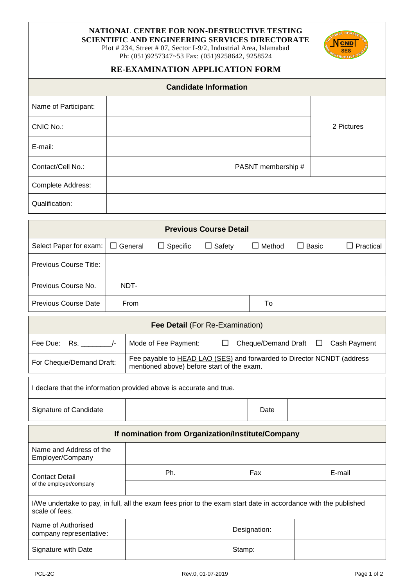## **NATIONAL CENTRE FOR NON-DESTRUCTIVE TESTING**

**SCIENTIFIC AND ENGINEERING SERVICES DIRECTORATE**

Plot # 234, Street # 07, Sector I-9/2, Industrial Area, Islamabad Ph: (051)9257347~53 Fax: (051)9258642, 9258524



### **RE-EXAMINATION APPLICATION FORM**

| <b>Candidate Information</b> |  |                    |            |  |
|------------------------------|--|--------------------|------------|--|
| Name of Participant:         |  |                    |            |  |
| CNIC No.:                    |  |                    | 2 Pictures |  |
| E-mail:                      |  |                    |            |  |
| Contact/Cell No.:            |  | PASNT membership # |            |  |
| Complete Address:            |  |                    |            |  |
| Qualification:               |  |                    |            |  |

| <b>Previous Course Detail</b>         |             |                 |               |               |              |           |
|---------------------------------------|-------------|-----------------|---------------|---------------|--------------|-----------|
| Select Paper for exam: $\Box$ General |             | $\Box$ Specific | $\Box$ Safety | $\Box$ Method | $\Box$ Basic | Practical |
| Previous Course Title:                |             |                 |               |               |              |           |
| Previous Course No.                   | NDT-        |                 |               |               |              |           |
| Previous Course Date                  | <b>From</b> |                 |               | To            |              |           |

| <b>Fee Detail (For Re-Examination)</b> |                                                                                                                      |                                         |  |  |  |
|----------------------------------------|----------------------------------------------------------------------------------------------------------------------|-----------------------------------------|--|--|--|
|                                        | Mode of Fee Payment:                                                                                                 | Cheque/Demand Draft $\Box$ Cash Payment |  |  |  |
| For Cheque/Demand Draft:               | Fee payable to HEAD LAO (SES) and forwarded to Director NCNDT (address<br>mentioned above) before start of the exam. |                                         |  |  |  |

I declare that the information provided above is accurate and true.

Signature of Candidate **Date** Date

| If nomination from Organization/Institute/Company                                                                                 |     |              |        |  |  |
|-----------------------------------------------------------------------------------------------------------------------------------|-----|--------------|--------|--|--|
| Name and Address of the<br>Employer/Company                                                                                       |     |              |        |  |  |
| <b>Contact Detail</b><br>of the employer/company                                                                                  | Ph. | Fax          | E-mail |  |  |
|                                                                                                                                   |     |              |        |  |  |
| I/We undertake to pay, in full, all the exam fees prior to the exam start date in accordance with the published<br>scale of fees. |     |              |        |  |  |
| Name of Authorised<br>company representative:                                                                                     |     | Designation: |        |  |  |
| Signature with Date                                                                                                               |     | Stamp:       |        |  |  |